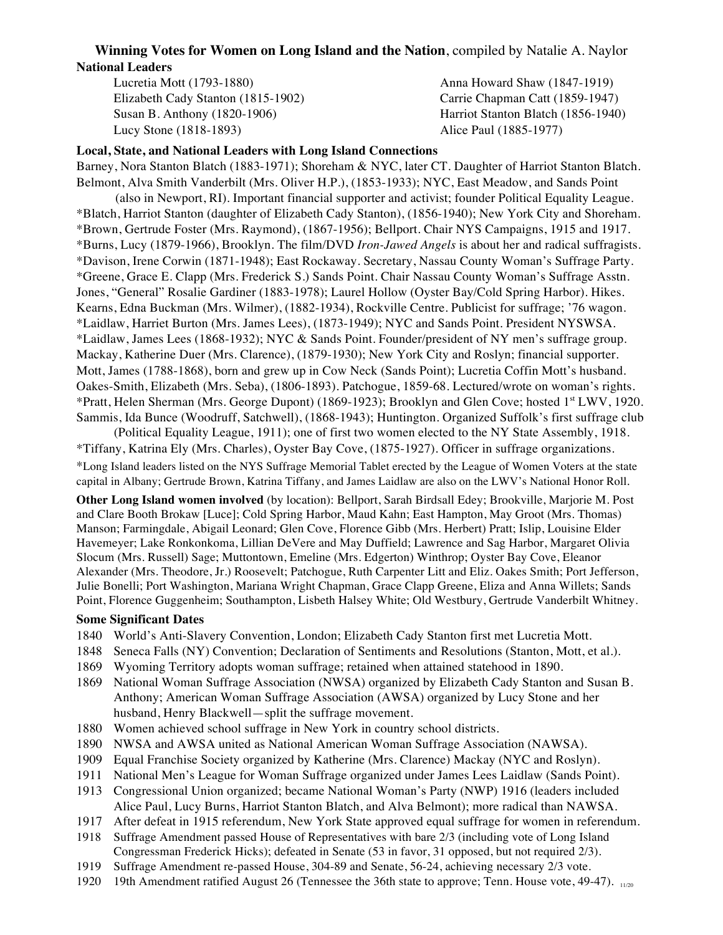## **Winning Votes for Women on Long Island and the Nation**, compiled by Natalie A. Naylor **National Leaders**

Lucretia Mott (1793-1880) Anna Howard Shaw (1847-1919) Elizabeth Cady Stanton (1815-1902) Carrie Chapman Catt (1859-1947) Susan B. Anthony (1820-1906) Harriot Stanton Blatch (1856-1940) Lucy Stone (1818-1893) Alice Paul (1885-1977)

## **Local, State, and National Leaders with Long Island Connections**

Barney, Nora Stanton Blatch (1883-1971); Shoreham & NYC, later CT. Daughter of Harriot Stanton Blatch. Belmont, Alva Smith Vanderbilt (Mrs. Oliver H.P.), (1853-1933); NYC, East Meadow, and Sands Point (also in Newport, RI). Important financial supporter and activist; founder Political Equality League. \*Blatch, Harriot Stanton (daughter of Elizabeth Cady Stanton), (1856-1940); New York City and Shoreham. \*Brown, Gertrude Foster (Mrs. Raymond), (1867-1956); Bellport. Chair NYS Campaigns, 1915 and 1917. \*Burns, Lucy (1879-1966), Brooklyn. The film/DVD *Iron-Jawed Angels* is about her and radical suffragists. \*Davison, Irene Corwin (1871-1948); East Rockaway. Secretary, Nassau County Woman's Suffrage Party. \*Greene, Grace E. Clapp (Mrs. Frederick S.) Sands Point. Chair Nassau County Woman's Suffrage Asstn. Jones, "General" Rosalie Gardiner (1883-1978); Laurel Hollow (Oyster Bay/Cold Spring Harbor). Hikes. Kearns, Edna Buckman (Mrs. Wilmer), (1882-1934), Rockville Centre. Publicist for suffrage; '76 wagon. \*Laidlaw, Harriet Burton (Mrs. James Lees), (1873-1949); NYC and Sands Point. President NYSWSA. \*Laidlaw, James Lees (1868-1932); NYC & Sands Point. Founder/president of NY men's suffrage group. Mackay, Katherine Duer (Mrs. Clarence), (1879-1930); New York City and Roslyn; financial supporter. Mott, James (1788-1868), born and grew up in Cow Neck (Sands Point); Lucretia Coffin Mott's husband. Oakes-Smith, Elizabeth (Mrs. Seba), (1806-1893). Patchogue, 1859-68. Lectured/wrote on woman's rights. \*Pratt, Helen Sherman (Mrs. George Dupont) (1869-1923); Brooklyn and Glen Cove; hosted 1st LWV, 1920. Sammis, Ida Bunce (Woodruff, Satchwell), (1868-1943); Huntington. Organized Suffolk's first suffrage club

(Political Equality League, 1911); one of first two women elected to the NY State Assembly, 1918. \*Tiffany, Katrina Ely (Mrs. Charles), Oyster Bay Cove, (1875-1927). Officer in suffrage organizations. \*Long Island leaders listed on the NYS Suffrage Memorial Tablet erected by the League of Women Voters at the state capital in Albany; Gertrude Brown, Katrina Tiffany, and James Laidlaw are also on the LWV's National Honor Roll.

**Other Long Island women involved** (by location): Bellport, Sarah Birdsall Edey; Brookville, Marjorie M. Post and Clare Booth Brokaw [Luce]; Cold Spring Harbor, Maud Kahn; East Hampton, May Groot (Mrs. Thomas) Manson; Farmingdale, Abigail Leonard; Glen Cove, Florence Gibb (Mrs. Herbert) Pratt; Islip, Louisine Elder Havemeyer; Lake Ronkonkoma, Lillian DeVere and May Duffield; Lawrence and Sag Harbor, Margaret Olivia Slocum (Mrs. Russell) Sage; Muttontown, Emeline (Mrs. Edgerton) Winthrop; Oyster Bay Cove, Eleanor Alexander (Mrs. Theodore, Jr.) Roosevelt; Patchogue, Ruth Carpenter Litt and Eliz. Oakes Smith; Port Jefferson, Julie Bonelli; Port Washington, Mariana Wright Chapman, Grace Clapp Greene, Eliza and Anna Willets; Sands Point, Florence Guggenheim; Southampton, Lisbeth Halsey White; Old Westbury, Gertrude Vanderbilt Whitney.

## **Some Significant Dates**

- 1840 World's Anti-Slavery Convention, London; Elizabeth Cady Stanton first met Lucretia Mott.
- 1848 Seneca Falls (NY) Convention; Declaration of Sentiments and Resolutions (Stanton, Mott, et al.).
- 1869 Wyoming Territory adopts woman suffrage; retained when attained statehood in 1890.
- 1869 National Woman Suffrage Association (NWSA) organized by Elizabeth Cady Stanton and Susan B. Anthony; American Woman Suffrage Association (AWSA) organized by Lucy Stone and her husband, Henry Blackwell—split the suffrage movement.
- 1880 Women achieved school suffrage in New York in country school districts.
- 1890 NWSA and AWSA united as National American Woman Suffrage Association (NAWSA).
- 1909 Equal Franchise Society organized by Katherine (Mrs. Clarence) Mackay (NYC and Roslyn).
- 1911 National Men's League for Woman Suffrage organized under James Lees Laidlaw (Sands Point).
- 1913 Congressional Union organized; became National Woman's Party (NWP) 1916 (leaders included Alice Paul, Lucy Burns, Harriot Stanton Blatch, and Alva Belmont); more radical than NAWSA.
- 1917 After defeat in 1915 referendum, New York State approved equal suffrage for women in referendum.
- 1918 Suffrage Amendment passed House of Representatives with bare 2/3 (including vote of Long Island Congressman Frederick Hicks); defeated in Senate (53 in favor, 31 opposed, but not required 2/3).
- 1919 Suffrage Amendment re-passed House, 304-89 and Senate, 56-24, achieving necessary 2/3 vote.
- 1920 19th Amendment ratified August 26 (Tennessee the 36th state to approve; Tenn. House vote, 49-47). <sub>1120</sub>